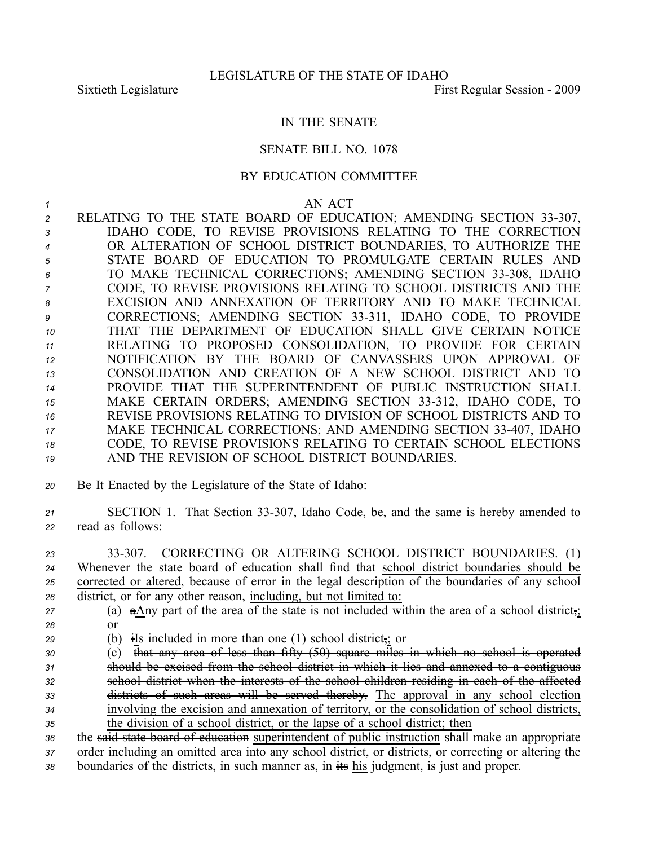## IN THE SENATE

## SENATE BILL NO. 1078

## BY EDUCATION COMMITTEE

## *1* AN ACT

- 2 RELATING TO THE STATE BOARD OF EDUCATION; AMENDING SECTION 33-307, *<sup>3</sup>* IDAHO CODE, TO REVISE PROVISIONS RELATING TO THE CORRECTION *<sup>4</sup>* OR ALTERATION OF SCHOOL DISTRICT BOUNDARIES, TO AUTHORIZE THE *<sup>5</sup>* STATE BOARD OF EDUCATION TO PROMULGATE CERTAIN RULES AND *<sup>6</sup>* TO MAKE TECHNICAL CORRECTIONS; AMENDING SECTION 33308, IDAHO *<sup>7</sup>* CODE, TO REVISE PROVISIONS RELATING TO SCHOOL DISTRICTS AND THE *8* EXCISION AND ANNEXATION OF TERRITORY AND TO MAKE TECHNICAL 9 CORRECTIONS; AMENDING SECTION 33-311, IDAHO CODE, TO PROVIDE *10* THAT THE DEPARTMENT OF EDUCATION SHALL GIVE CERTAIN NOTICE *<sup>11</sup>* RELATING TO PROPOSED CONSOLIDATION, TO PROVIDE FOR CERTAIN *<sup>12</sup>* NOTIFICATION BY THE BOARD OF CANVASSERS UPON APPROVAL OF *13* CONSOLIDATION AND CREATION OF A NEW SCHOOL DISTRICT AND TO *<sup>14</sup>* PROVIDE THAT THE SUPERINTENDENT OF PUBLIC INSTRUCTION SHALL 15 MAKE CERTAIN ORDERS; AMENDING SECTION 33-312, IDAHO CODE, TO *16* REVISE PROVISIONS RELATING TO DIVISION OF SCHOOL DISTRICTS AND TO *<sup>17</sup>* MAKE TECHNICAL CORRECTIONS; AND AMENDING SECTION 33407, IDAHO *<sup>18</sup>* CODE, TO REVISE PROVISIONS RELATING TO CERTAIN SCHOOL ELECTIONS *19* AND THE REVISION OF SCHOOL DISTRICT BOUNDARIES.
- *<sup>20</sup>* Be It Enacted by the Legislature of the State of Idaho:
- *<sup>21</sup>* SECTION 1. That Section 33307, Idaho Code, be, and the same is hereby amended to *<sup>22</sup>* read as follows:
- *<sup>23</sup>* 33307. CORRECTING OR ALTERING SCHOOL DISTRICT BOUNDARIES. (1) *<sup>24</sup>* Whenever the state board of education shall find that school district boundaries should be *<sup>25</sup>* corrected or altered, because of error in the legal description of the boundaries of any school *<sup>26</sup>* district, or for any other reason, including, but not limited to:
- *<sup>27</sup>* (a) aAny par<sup>t</sup> of the area of the state is not included within the area of <sup>a</sup> school district,; *28* or
- *<sup>29</sup>* (b) iIs included in more than one (1) school district,; or
- *<sup>30</sup>* (c) that any area of less than fifty (50) square miles in which no school is operated *<sup>31</sup>* should be excised from the school district in which it lies and annexed to <sup>a</sup> contiguous *<sup>32</sup>* school district when the interests of the school children residing in each of the affected *<sup>33</sup>* districts of such areas will be served thereby, The approval in any school election *<sup>34</sup>* involving the excision and annexation of territory, or the consolidation of school districts, *<sup>35</sup>* the division of <sup>a</sup> school district, or the lapse of <sup>a</sup> school district; then
- *<sup>36</sup>* the said state board of education superintendent of public instruction shall make an appropriate *<sup>37</sup>* order including an omitted area into any school district, or districts, or correcting or altering the 38 boundaries of the districts, in such manner as, in  $\frac{1}{10}$  his judgment, is just and proper.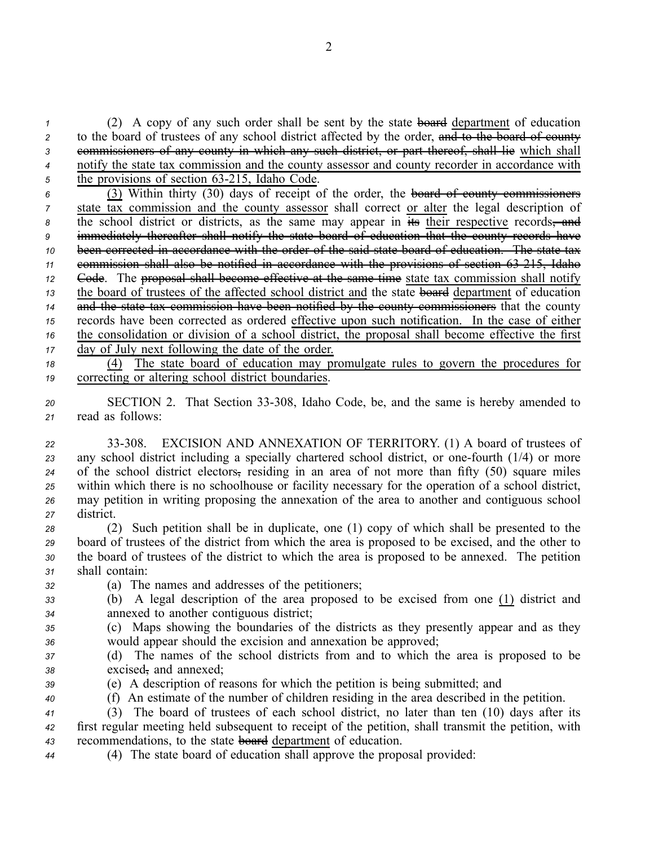*<sup>1</sup>* (2) A copy of any such order shall be sent by the state board department of education 2 to the board of trustees of any school district affected by the order, and to the board of county *<sup>3</sup>* commissioners of any county in which any such district, or par<sup>t</sup> thereof, shall lie which shall *<sup>4</sup>* notify the state tax commission and the county assessor and county recorder in accordance with <sup>5</sup> the provisions of section 63-215, Idaho Code.

- *<sup>6</sup>* (3) Within thirty (30) days of receipt of the order, the board of county commissioners *<sup>7</sup>* state tax commission and the county assessor shall correct or alter the legal description of <sup>8</sup> the school district or districts, as the same may appear in  $\frac{1}{115}$  their respective records, and *<sup>9</sup>* immediately thereafter shall notify the state board of education that the county records have *<sup>10</sup>* been corrected in accordance with the order of the said state board of education. The state tax *<sup>11</sup>* commission shall also be notified in accordance with the provisions of section 63215, Idaho *<sup>12</sup>* Code. The proposal shall become effective at the same time state tax commission shall notify *<sup>13</sup>* the board of trustees of the affected school district and the state board department of education *<sup>14</sup>* and the state tax commission have been notified by the county commissioners that the county *<sup>15</sup>* records have been corrected as ordered effective upon such notification. In the case of either *<sup>16</sup>* the consolidation or division of <sup>a</sup> school district, the proposal shall become effective the first *<sup>17</sup>* day of July next following the date of the order.
- *<sup>18</sup>* (4) The state board of education may promulgate rules to govern the procedures for *<sup>19</sup>* correcting or altering school district boundaries.
- *<sup>20</sup>* SECTION 2. That Section 33308, Idaho Code, be, and the same is hereby amended to *<sup>21</sup>* read as follows:
- *<sup>22</sup>* 33308. EXCISION AND ANNEXATION OF TERRITORY. (1) A board of trustees of 23 any school district including a specially chartered school district, or one-fourth (1/4) or more *<sup>24</sup>* of the school district electors, residing in an area of not more than fifty (50) square miles *<sup>25</sup>* within which there is no schoolhouse or facility necessary for the operation of <sup>a</sup> school district, *<sup>26</sup>* may petition in writing proposing the annexation of the area to another and contiguous school *<sup>27</sup>* district.
- *<sup>28</sup>* (2) Such petition shall be in duplicate, one (1) copy of which shall be presented to the *<sup>29</sup>* board of trustees of the district from which the area is proposed to be excised, and the other to *<sup>30</sup>* the board of trustees of the district to which the area is proposed to be annexed. The petition *<sup>31</sup>* shall contain:
- *<sup>32</sup>* (a) The names and addresses of the petitioners;
- *<sup>33</sup>* (b) A legal description of the area proposed to be excised from one (1) district and *<sup>34</sup>* annexed to another contiguous district;
- *<sup>35</sup>* (c) Maps showing the boundaries of the districts as they presently appear and as they *<sup>36</sup>* would appear should the excision and annexation be approved;
- *<sup>37</sup>* (d) The names of the school districts from and to which the area is proposed to be *<sup>38</sup>* excised, and annexed;
- 
- *<sup>39</sup>* (e) A description of reasons for which the petition is being submitted; and
- *<sup>40</sup>* (f) An estimate of the number of children residing in the area described in the petition.
- *<sup>41</sup>* (3) The board of trustees of each school district, no later than ten (10) days after its *<sup>42</sup>* first regular meeting held subsequent to receipt of the petition, shall transmit the petition, with *<sup>43</sup>* recommendations, to the state board department of education.
- *<sup>44</sup>* (4) The state board of education shall approve the proposal provided: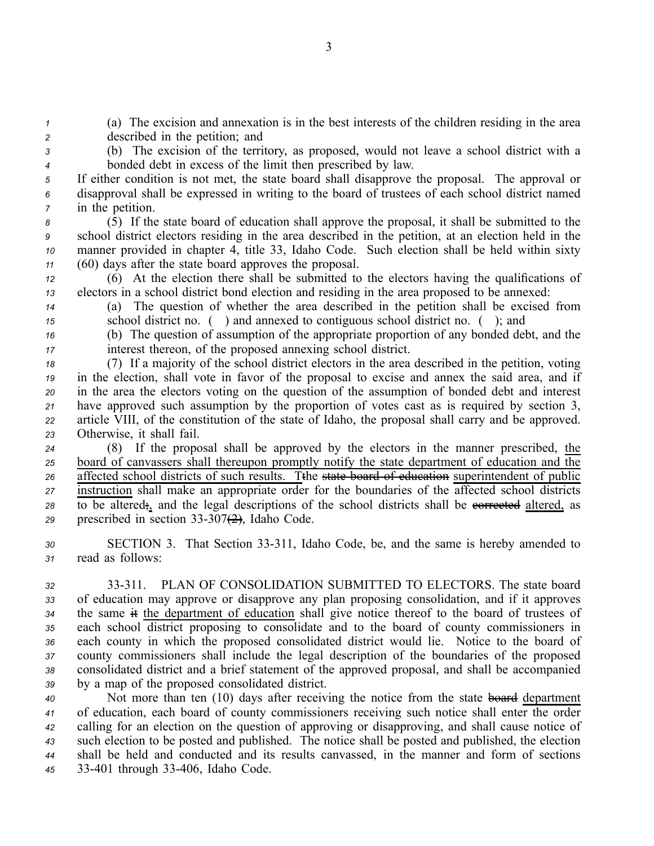*<sup>1</sup>* (a) The excision and annexation is in the best interests of the children residing in the area *<sup>2</sup>* described in the petition; and

*<sup>3</sup>* (b) The excision of the territory, as proposed, would not leave <sup>a</sup> school district with <sup>a</sup> *<sup>4</sup>* bonded debt in excess of the limit then prescribed by law.

*<sup>5</sup>* If either condition is not met, the state board shall disapprove the proposal. The approval or *<sup>6</sup>* disapproval shall be expressed in writing to the board of trustees of each school district named *<sup>7</sup>* in the petition.

 (5) If the state board of education shall approve the proposal, it shall be submitted to the school district electors residing in the area described in the petition, at an election held in the manner provided in chapter 4, title 33, Idaho Code. Such election shall be held within sixty (60) days after the state board approves the proposal.

*<sup>12</sup>* (6) At the election there shall be submitted to the electors having the qualifications of *<sup>13</sup>* electors in <sup>a</sup> school district bond election and residing in the area proposed to be annexed:

*<sup>14</sup>* (a) The question of whether the area described in the petition shall be excised from *<sup>15</sup>* school district no. ( ) and annexed to contiguous school district no. ( ); and

*<sup>16</sup>* (b) The question of assumption of the appropriate proportion of any bonded debt, and the *<sup>17</sup>* interest thereon, of the proposed annexing school district.

 (7) If <sup>a</sup> majority of the school district electors in the area described in the petition, voting in the election, shall vote in favor of the proposal to excise and annex the said area, and if in the area the electors voting on the question of the assumption of bonded debt and interest have approved such assumption by the proportion of votes cast as is required by section 3, article VIII, of the constitution of the state of Idaho, the proposal shall carry and be approved. Otherwise, it shall fail.

 (8) If the proposal shall be approved by the electors in the manner prescribed, the board of canvassers shall thereupon promptly notify the state department of education and the affected school districts of such results. Tthe state board of education superintendent of public instruction shall make an appropriate order for the boundaries of the affected school districts 28 to be altered;, and the legal descriptions of the school districts shall be evertured altered, as prescribed in section  $33-307(2)$ , Idaho Code.

*<sup>30</sup>* SECTION 3. That Section 33311, Idaho Code, be, and the same is hereby amended to *<sup>31</sup>* read as follows:

 33311. PLAN OF CONSOLIDATION SUBMITTED TO ELECTORS. The state board of education may approve or disapprove any plan proposing consolidation, and if it approves the same it the department of education shall give notice thereof to the board of trustees of each school district proposing to consolidate and to the board of county commissioners in each county in which the proposed consolidated district would lie. Notice to the board of county commissioners shall include the legal description of the boundaries of the proposed consolidated district and <sup>a</sup> brief statement of the approved proposal, and shall be accompanied by <sup>a</sup> map of the proposed consolidated district.

 Not more than ten (10) days after receiving the notice from the state board department of education, each board of county commissioners receiving such notice shall enter the order calling for an election on the question of approving or disapproving, and shall cause notice of such election to be posted and published. The notice shall be posted and published, the election shall be held and conducted and its results canvassed, in the manner and form of sections 33401 through 33406, Idaho Code.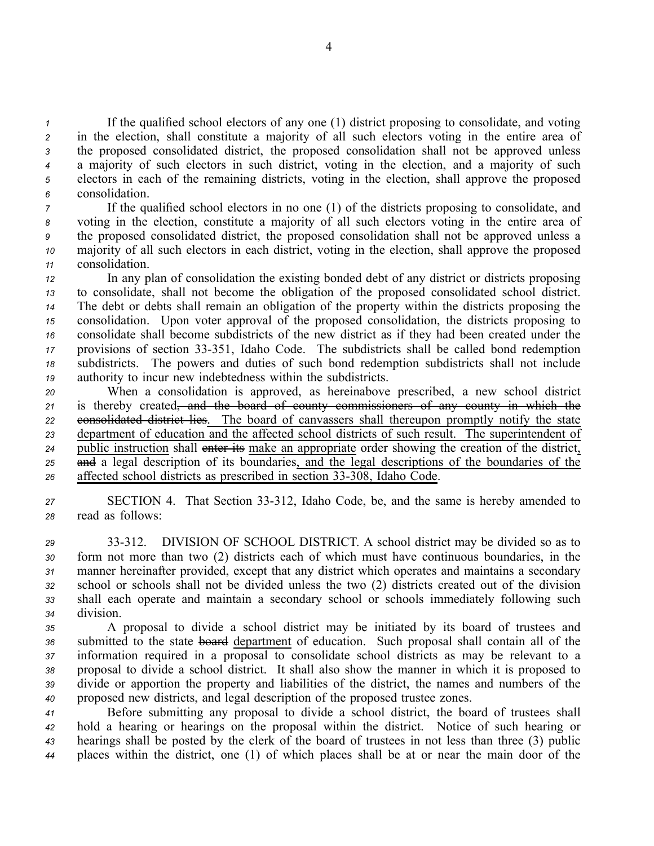If the qualified school electors of any one (1) district proposing to consolidate, and voting in the election, shall constitute <sup>a</sup> majority of all such electors voting in the entire area of the proposed consolidated district, the proposed consolidation shall not be approved unless <sup>a</sup> majority of such electors in such district, voting in the election, and <sup>a</sup> majority of such electors in each of the remaining districts, voting in the election, shall approve the proposed consolidation.

 If the qualified school electors in no one (1) of the districts proposing to consolidate, and voting in the election, constitute <sup>a</sup> majority of all such electors voting in the entire area of the proposed consolidated district, the proposed consolidation shall not be approved unless <sup>a</sup> majority of all such electors in each district, voting in the election, shall approve the proposed consolidation.

 In any plan of consolidation the existing bonded debt of any district or districts proposing to consolidate, shall not become the obligation of the proposed consolidated school district. The debt or debts shall remain an obligation of the property within the districts proposing the consolidation. Upon voter approval of the proposed consolidation, the districts proposing to consolidate shall become subdistricts of the new district as if they had been created under the provisions of section 33351, Idaho Code. The subdistricts shall be called bond redemption subdistricts. The powers and duties of such bond redemption subdistricts shall not include authority to incur new indebtedness within the subdistricts.

 When <sup>a</sup> consolidation is approved, as hereinabove prescribed, <sup>a</sup> new school district is thereby created, and the board of county commissioners of any county in which the **consolidated district lies**. The board of canvassers shall thereupon promptly notify the state department of education and the affected school districts of such result. The superintendent of public instruction shall enter its make an appropriate order showing the creation of the district, and <sup>a</sup> legal description of its boundaries, and the legal descriptions of the boundaries of the 26 affected school districts as prescribed in section 33-308, Idaho Code.

*<sup>27</sup>* SECTION 4. That Section 33312, Idaho Code, be, and the same is hereby amended to *<sup>28</sup>* read as follows:

 33312. DIVISION OF SCHOOL DISTRICT. A school district may be divided so as to form not more than two (2) districts each of which must have continuous boundaries, in the manner hereinafter provided, excep<sup>t</sup> that any district which operates and maintains <sup>a</sup> secondary school or schools shall not be divided unless the two (2) districts created out of the division shall each operate and maintain <sup>a</sup> secondary school or schools immediately following such division.

 A proposal to divide <sup>a</sup> school district may be initiated by its board of trustees and submitted to the state board department of education. Such proposal shall contain all of the information required in <sup>a</sup> proposal to consolidate school districts as may be relevant to <sup>a</sup> proposal to divide <sup>a</sup> school district. It shall also show the manner in which it is proposed to divide or apportion the property and liabilities of the district, the names and numbers of the proposed new districts, and legal description of the proposed trustee zones.

 Before submitting any proposal to divide <sup>a</sup> school district, the board of trustees shall hold <sup>a</sup> hearing or hearings on the proposal within the district. Notice of such hearing or hearings shall be posted by the clerk of the board of trustees in not less than three (3) public places within the district, one (1) of which places shall be at or near the main door of the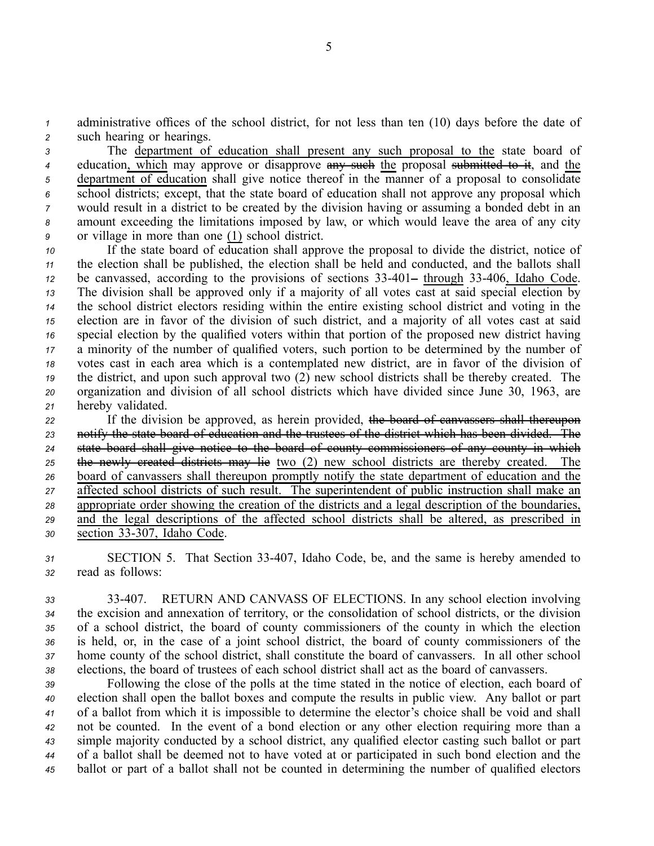*<sup>1</sup>* administrative offices of the school district, for not less than ten (10) days before the date of *<sup>2</sup>* such hearing or hearings.

 The department of education shall presen<sup>t</sup> any such proposal to the state board of <sup>4</sup> education, which may approve or disapprove any such the proposal submitted to it, and the department of education shall give notice thereof in the manner of <sup>a</sup> proposal to consolidate school districts; except, that the state board of education shall not approve any proposal which would result in <sup>a</sup> district to be created by the division having or assuming <sup>a</sup> bonded debt in an amount exceeding the limitations imposed by law, or which would leave the area of any city or village in more than one (1) school district.

 If the state board of education shall approve the proposal to divide the district, notice of the election shall be published, the election shall be held and conducted, and the ballots shall be canvassed, according to the provisions of sections 33401– through 33406, Idaho Code. The division shall be approved only if <sup>a</sup> majority of all votes cast at said special election by the school district electors residing within the entire existing school district and voting in the election are in favor of the division of such district, and <sup>a</sup> majority of all votes cast at said special election by the qualified voters within that portion of the proposed new district having <sup>a</sup> minority of the number of qualified voters, such portion to be determined by the number of votes cast in each area which is <sup>a</sup> contemplated new district, are in favor of the division of the district, and upon such approval two (2) new school districts shall be thereby created. The organization and division of all school districts which have divided since June 30, 1963, are hereby validated.

22 If the division be approved, as herein provided, the board of canvassers shall thereupon notify the state board of education and the trustees of the district which has been divided. The state board shall give notice to the board of county commissioners of any county in which the newly created districts may lie two (2) new school districts are thereby created. The board of canvassers shall thereupon promptly notify the state department of education and the affected school districts of such result. The superintendent of public instruction shall make an appropriate order showing the creation of the districts and <sup>a</sup> legal description of the boundaries, and the legal descriptions of the affected school districts shall be altered, as prescribed in section 33307, Idaho Code.

*<sup>31</sup>* SECTION 5. That Section 33407, Idaho Code, be, and the same is hereby amended to *<sup>32</sup>* read as follows:

 33407. RETURN AND CANVASS OF ELECTIONS. In any school election involving the excision and annexation of territory, or the consolidation of school districts, or the division of <sup>a</sup> school district, the board of county commissioners of the county in which the election is held, or, in the case of <sup>a</sup> joint school district, the board of county commissioners of the home county of the school district, shall constitute the board of canvassers. In all other school elections, the board of trustees of each school district shall act as the board of canvassers.

 Following the close of the polls at the time stated in the notice of election, each board of election shall open the ballot boxes and compute the results in public view. Any ballot or par<sup>t</sup> of <sup>a</sup> ballot from which it is impossible to determine the elector's choice shall be void and shall not be counted. In the event of <sup>a</sup> bond election or any other election requiring more than <sup>a</sup> simple majority conducted by <sup>a</sup> school district, any qualified elector casting such ballot or par<sup>t</sup> of <sup>a</sup> ballot shall be deemed not to have voted at or participated in such bond election and the ballot or par<sup>t</sup> of <sup>a</sup> ballot shall not be counted in determining the number of qualified electors